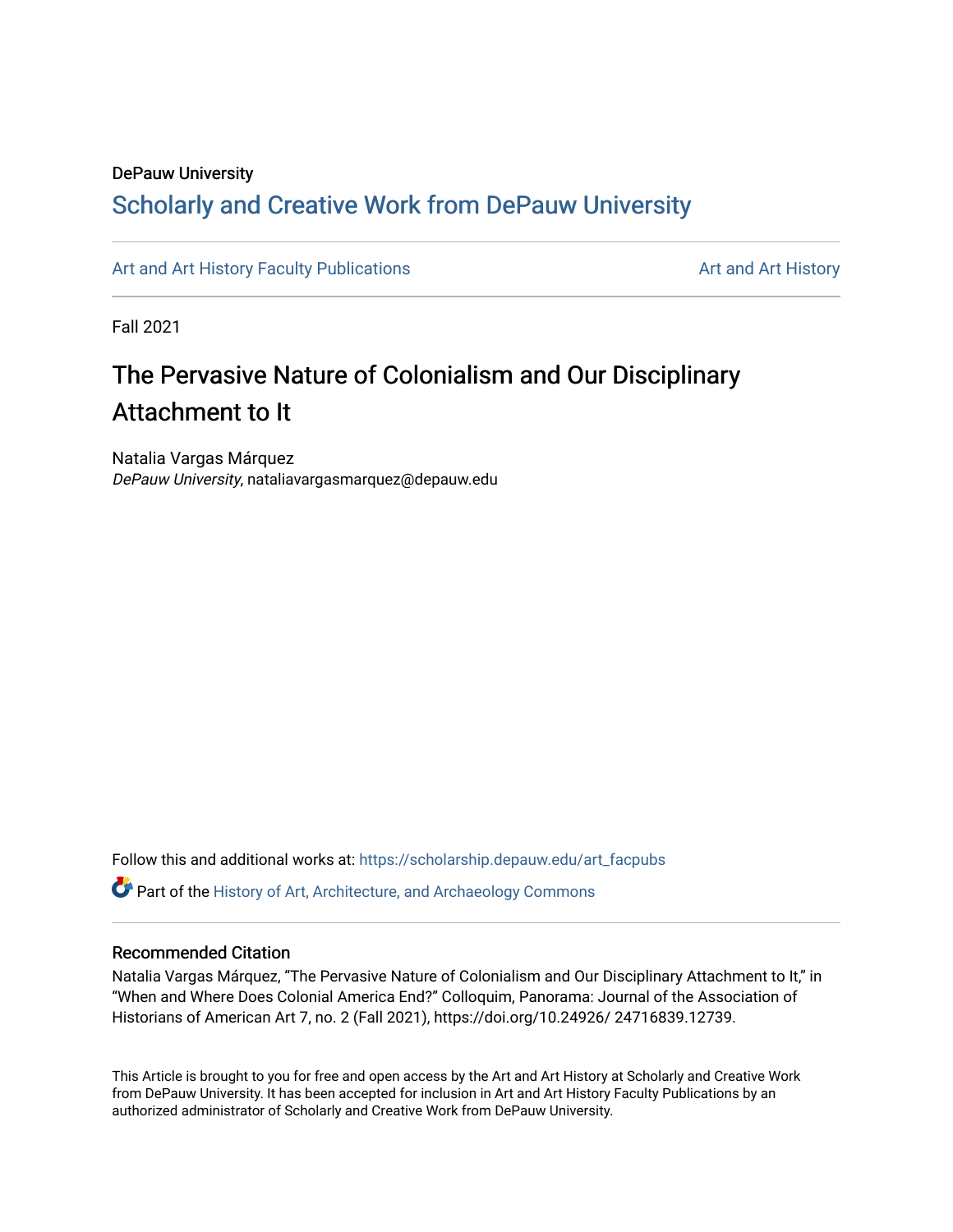### DePauw University

## Scholarly and [Creative Work from DePauw Univ](https://scholarship.depauw.edu/)ersity

[Art and Art History Faculty Publications](https://scholarship.depauw.edu/art_facpubs) [Art and Art History](https://scholarship.depauw.edu/art) Art and Art History

Fall 2021

# The Pervasive Nature of Colonialism and Our Disciplinary Attachment to It

Natalia Vargas Márquez DePauw University, nataliavargasmarquez@depauw.edu

Follow this and additional works at: [https://scholarship.depauw.edu/art\\_facpubs](https://scholarship.depauw.edu/art_facpubs?utm_source=scholarship.depauw.edu%2Fart_facpubs%2F5&utm_medium=PDF&utm_campaign=PDFCoverPages) 

**C** Part of the History of Art, Architecture, and Archaeology Commons

### Recommended Citation

Natalia Vargas Márquez, "The Pervasive Nature of Colonialism and Our Disciplinary Attachment to It," in "When and Where Does Colonial America End?" Colloquim, Panorama: Journal of the Association of Historians of American Art 7, no. 2 (Fall 2021), https://doi.org/10.24926/ 24716839.12739.

This Article is brought to you for free and open access by the Art and Art History at Scholarly and Creative Work from DePauw University. It has been accepted for inclusion in Art and Art History Faculty Publications by an authorized administrator of Scholarly and Creative Work from DePauw University.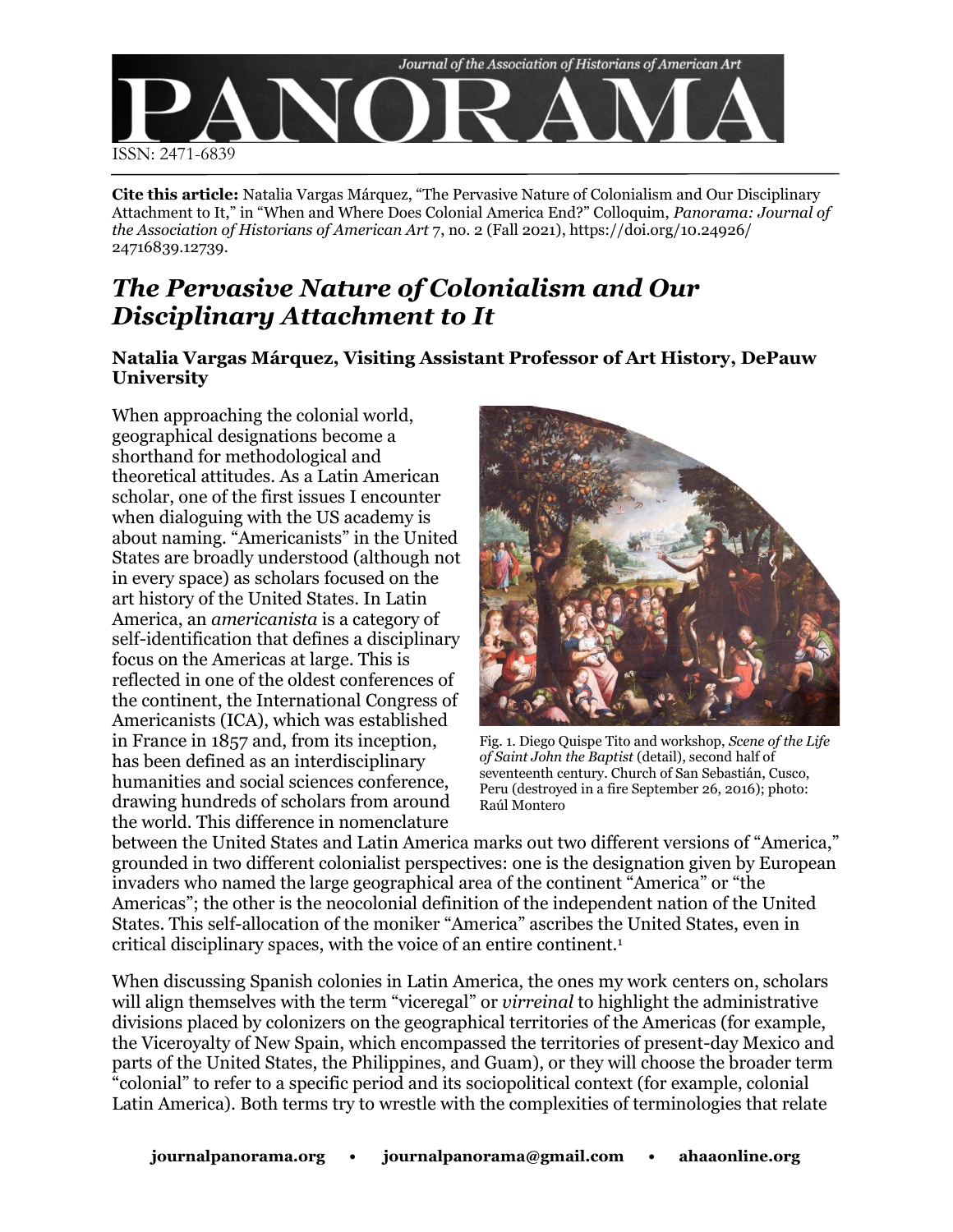

**Cite this article:** Natalia Vargas Márquez, "The Pervasive Nature of Colonialism and Our Disciplinary Attachment to It," in "When and Where Does Colonial America End?" Colloquim, *Panorama: Journal of the Association of Historians of American Art* 7, no. 2 (Fall 2021), https://doi.org/10.24926/ 24716839.12739.

# *The Pervasive Nature of Colonialism and Our Disciplinary Attachment to It*

### **Natalia Vargas Márquez, Visiting Assistant Professor of Art History, DePauw University**

When approaching the colonial world, geographical designations become a shorthand for methodological and theoretical attitudes. As a Latin American scholar, one of the first issues I encounter when dialoguing with the US academy is about naming. "Americanists" in the United States are broadly understood (although not in every space) as scholars focused on the art history of the United States. In Latin America, an *americanista* is a category of self-identification that defines a disciplinary focus on the Americas at large. This is reflected in one of the oldest conferences of the continent, the International Congress of Americanists (ICA), which was established in France in 1857 and, from its inception, has been defined as an interdisciplinary humanities and social sciences conference, drawing hundreds of scholars from around the world. This difference in nomenclature



Fig. 1. Diego Quispe Tito and workshop, *Scene of the Life of Saint John the Baptist* (detail), second half of seventeenth century. Church of San Sebastián, Cusco, Peru (destroyed in a fire September 26, 2016); photo: Raúl Montero

between the United States and Latin America marks out two different versions of "America," grounded in two different colonialist perspectives: one is the designation given by European invaders who named the large geographical area of the continent "America" or "the Americas"; the other is the neocolonial definition of the independent nation of the United States. This self-allocation of the moniker "America" ascribes the United States, even in critical disciplinary spaces, with the voice of an entire continent.<sup>1</sup>

When discussing Spanish colonies in Latin America, the ones my work centers on, scholars will align themselves with the term "viceregal" or *virreinal* to highlight the administrative divisions placed by colonizers on the geographical territories of the Americas (for example, the Viceroyalty of New Spain, which encompassed the territories of present-day Mexico and parts of the United States, the Philippines, and Guam), or they will choose the broader term "colonial" to refer to a specific period and its sociopolitical context (for example, colonial Latin America). Both terms try to wrestle with the complexities of terminologies that relate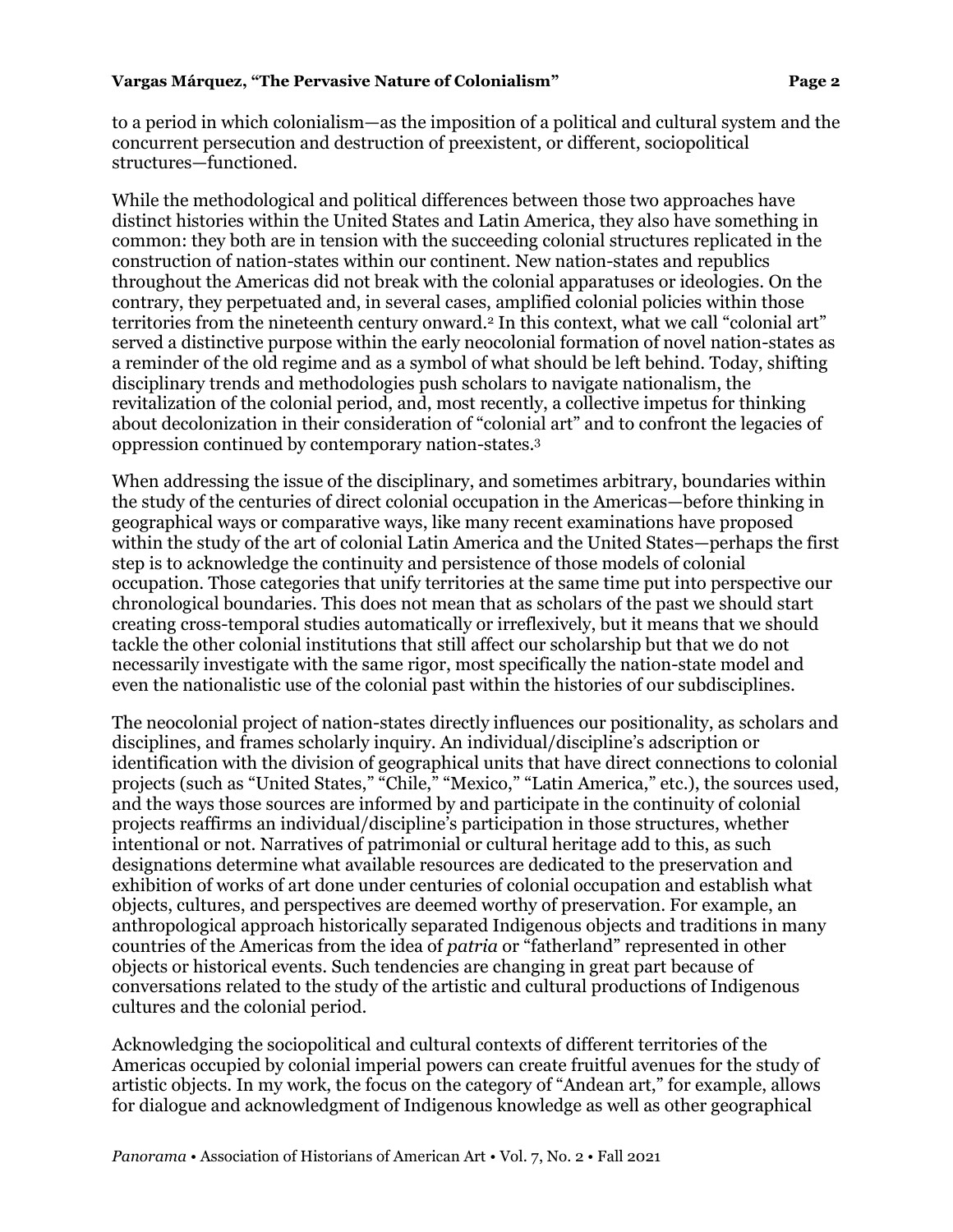to a period in which colonialism—as the imposition of a political and cultural system and the concurrent persecution and destruction of preexistent, or different, sociopolitical structures—functioned.

While the methodological and political differences between those two approaches have distinct histories within the United States and Latin America, they also have something in common: they both are in tension with the succeeding colonial structures replicated in the construction of nation-states within our continent. New nation-states and republics throughout the Americas did not break with the colonial apparatuses or ideologies. On the contrary, they perpetuated and, in several cases, amplified colonial policies within those territories from the nineteenth century onward.<sup>2</sup> In this context, what we call "colonial art" served a distinctive purpose within the early neocolonial formation of novel nation-states as a reminder of the old regime and as a symbol of what should be left behind. Today, shifting disciplinary trends and methodologies push scholars to navigate nationalism, the revitalization of the colonial period, and, most recently, a collective impetus for thinking about decolonization in their consideration of "colonial art" and to confront the legacies of oppression continued by contemporary nation-states.<sup>3</sup>

When addressing the issue of the disciplinary, and sometimes arbitrary, boundaries within the study of the centuries of direct colonial occupation in the Americas—before thinking in geographical ways or comparative ways, like many recent examinations have proposed within the study of the art of colonial Latin America and the United States—perhaps the first step is to acknowledge the continuity and persistence of those models of colonial occupation. Those categories that unify territories at the same time put into perspective our chronological boundaries. This does not mean that as scholars of the past we should start creating cross-temporal studies automatically or irreflexively, but it means that we should tackle the other colonial institutions that still affect our scholarship but that we do not necessarily investigate with the same rigor, most specifically the nation-state model and even the nationalistic use of the colonial past within the histories of our subdisciplines.

The neocolonial project of nation-states directly influences our positionality, as scholars and disciplines, and frames scholarly inquiry. An individual/discipline's adscription or identification with the division of geographical units that have direct connections to colonial projects (such as "United States," "Chile," "Mexico," "Latin America," etc.), the sources used, and the ways those sources are informed by and participate in the continuity of colonial projects reaffirms an individual/discipline's participation in those structures, whether intentional or not. Narratives of patrimonial or cultural heritage add to this, as such designations determine what available resources are dedicated to the preservation and exhibition of works of art done under centuries of colonial occupation and establish what objects, cultures, and perspectives are deemed worthy of preservation. For example, an anthropological approach historically separated Indigenous objects and traditions in many countries of the Americas from the idea of *patria* or "fatherland" represented in other objects or historical events. Such tendencies are changing in great part because of conversations related to the study of the artistic and cultural productions of Indigenous cultures and the colonial period.

Acknowledging the sociopolitical and cultural contexts of different territories of the Americas occupied by colonial imperial powers can create fruitful avenues for the study of artistic objects. In my work, the focus on the category of "Andean art," for example, allows for dialogue and acknowledgment of Indigenous knowledge as well as other geographical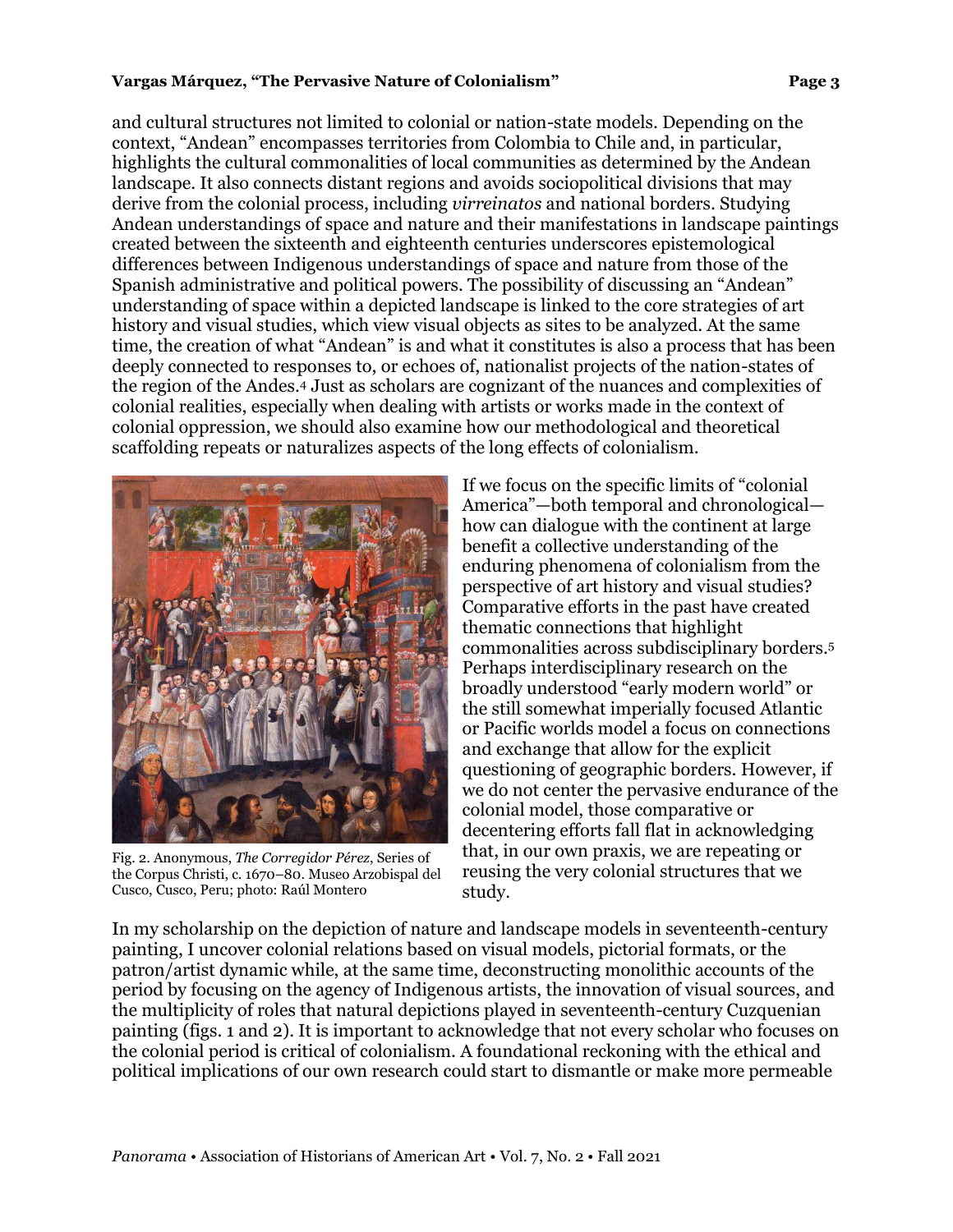### **Vargas Márquez, "The Pervasive Nature of Colonialism" Page 3**

and cultural structures not limited to colonial or nation-state models. Depending on the context, "Andean" encompasses territories from Colombia to Chile and, in particular, highlights the cultural commonalities of local communities as determined by the Andean landscape. It also connects distant regions and avoids sociopolitical divisions that may derive from the colonial process, including *virreinatos* and national borders. Studying Andean understandings of space and nature and their manifestations in landscape paintings created between the sixteenth and eighteenth centuries underscores epistemological differences between Indigenous understandings of space and nature from those of the Spanish administrative and political powers. The possibility of discussing an "Andean" understanding of space within a depicted landscape is linked to the core strategies of art history and visual studies, which view visual objects as sites to be analyzed. At the same time, the creation of what "Andean" is and what it constitutes is also a process that has been deeply connected to responses to, or echoes of, nationalist projects of the nation-states of the region of the Andes.<sup>4</sup> Just as scholars are cognizant of the nuances and complexities of colonial realities, especially when dealing with artists or works made in the context of colonial oppression, we should also examine how our methodological and theoretical scaffolding repeats or naturalizes aspects of the long effects of colonialism.



Fig. 2. Anonymous, *The Corregidor Pérez*, Series of the Corpus Christi, c. 1670–80. Museo Arzobispal del Cusco, Cusco, Peru; photo: Raúl Montero

If we focus on the specific limits of "colonial America"—both temporal and chronological how can dialogue with the continent at large benefit a collective understanding of the enduring phenomena of colonialism from the perspective of art history and visual studies? Comparative efforts in the past have created thematic connections that highlight commonalities across subdisciplinary borders.<sup>5</sup> Perhaps interdisciplinary research on the broadly understood "early modern world" or the still somewhat imperially focused Atlantic or Pacific worlds model a focus on connections and exchange that allow for the explicit questioning of geographic borders. However, if we do not center the pervasive endurance of the colonial model, those comparative or decentering efforts fall flat in acknowledging that, in our own praxis, we are repeating or reusing the very colonial structures that we study.

In my scholarship on the depiction of nature and landscape models in seventeenth-century painting, I uncover colonial relations based on visual models, pictorial formats, or the patron/artist dynamic while, at the same time, deconstructing monolithic accounts of the period by focusing on the agency of Indigenous artists, the innovation of visual sources, and the multiplicity of roles that natural depictions played in seventeenth-century Cuzquenian painting (figs. 1 and 2). It is important to acknowledge that not every scholar who focuses on the colonial period is critical of colonialism. A foundational reckoning with the ethical and political implications of our own research could start to dismantle or make more permeable